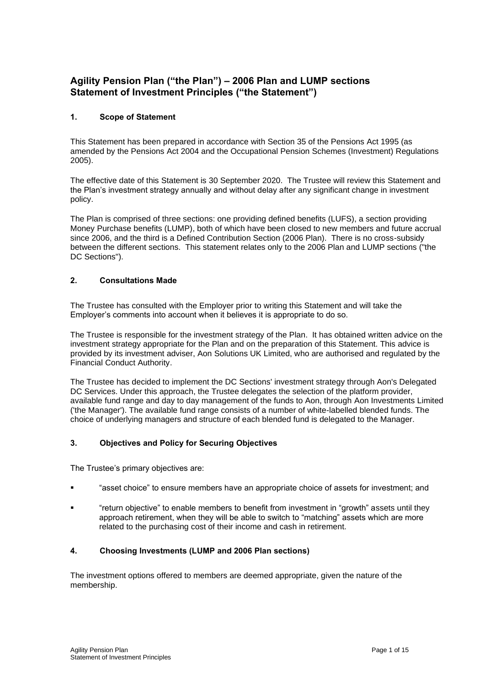# **Agility Pension Plan ("the Plan") – 2006 Plan and LUMP sections Statement of Investment Principles ("the Statement")**

# **1. Scope of Statement**

This Statement has been prepared in accordance with Section 35 of the Pensions Act 1995 (as amended by the Pensions Act 2004 and the Occupational Pension Schemes (Investment) Regulations 2005).

The effective date of this Statement is 30 September 2020. The Trustee will review this Statement and the Plan's investment strategy annually and without delay after any significant change in investment policy.

The Plan is comprised of three sections: one providing defined benefits (LUFS), a section providing Money Purchase benefits (LUMP), both of which have been closed to new members and future accrual since 2006, and the third is a Defined Contribution Section (2006 Plan). There is no cross-subsidy between the different sections. This statement relates only to the 2006 Plan and LUMP sections ("the DC Sections").

# **2. Consultations Made**

The Trustee has consulted with the Employer prior to writing this Statement and will take the Employer's comments into account when it believes it is appropriate to do so.

The Trustee is responsible for the investment strategy of the Plan. It has obtained written advice on the investment strategy appropriate for the Plan and on the preparation of this Statement. This advice is provided by its investment adviser, Aon Solutions UK Limited, who are authorised and regulated by the Financial Conduct Authority.

The Trustee has decided to implement the DC Sections' investment strategy through Aon's Delegated DC Services. Under this approach, the Trustee delegates the selection of the platform provider, available fund range and day to day management of the funds to Aon, through Aon Investments Limited ('the Manager'). The available fund range consists of a number of white-labelled blended funds. The choice of underlying managers and structure of each blended fund is delegated to the Manager.

### **3. Objectives and Policy for Securing Objectives**

The Trustee's primary objectives are:

- "asset choice" to ensure members have an appropriate choice of assets for investment; and
- "return objective" to enable members to benefit from investment in "growth" assets until they approach retirement, when they will be able to switch to "matching" assets which are more related to the purchasing cost of their income and cash in retirement.

### **4. Choosing Investments (LUMP and 2006 Plan sections)**

The investment options offered to members are deemed appropriate, given the nature of the membership.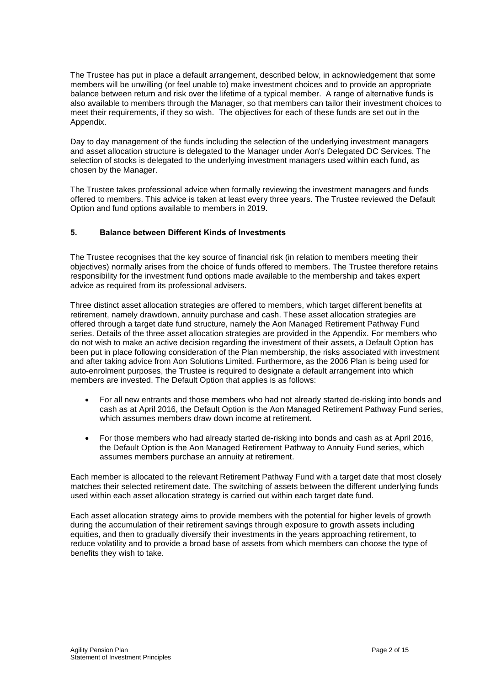The Trustee has put in place a default arrangement, described below, in acknowledgement that some members will be unwilling (or feel unable to) make investment choices and to provide an appropriate balance between return and risk over the lifetime of a typical member. A range of alternative funds is also available to members through the Manager, so that members can tailor their investment choices to meet their requirements, if they so wish. The objectives for each of these funds are set out in the Appendix.

Day to day management of the funds including the selection of the underlying investment managers and asset allocation structure is delegated to the Manager under Aon's Delegated DC Services. The selection of stocks is delegated to the underlying investment managers used within each fund, as chosen by the Manager.

The Trustee takes professional advice when formally reviewing the investment managers and funds offered to members. This advice is taken at least every three years. The Trustee reviewed the Default Option and fund options available to members in 2019.

# **5. Balance between Different Kinds of Investments**

The Trustee recognises that the key source of financial risk (in relation to members meeting their objectives) normally arises from the choice of funds offered to members. The Trustee therefore retains responsibility for the investment fund options made available to the membership and takes expert advice as required from its professional advisers.

Three distinct asset allocation strategies are offered to members, which target different benefits at retirement, namely drawdown, annuity purchase and cash. These asset allocation strategies are offered through a target date fund structure, namely the Aon Managed Retirement Pathway Fund series. Details of the three asset allocation strategies are provided in the Appendix. For members who do not wish to make an active decision regarding the investment of their assets, a Default Option has been put in place following consideration of the Plan membership, the risks associated with investment and after taking advice from Aon Solutions Limited. Furthermore, as the 2006 Plan is being used for auto-enrolment purposes, the Trustee is required to designate a default arrangement into which members are invested. The Default Option that applies is as follows:

- For all new entrants and those members who had not already started de-risking into bonds and cash as at April 2016, the Default Option is the Aon Managed Retirement Pathway Fund series, which assumes members draw down income at retirement
- For those members who had already started de-risking into bonds and cash as at April 2016, the Default Option is the Aon Managed Retirement Pathway to Annuity Fund series, which assumes members purchase an annuity at retirement.

Each member is allocated to the relevant Retirement Pathway Fund with a target date that most closely matches their selected retirement date. The switching of assets between the different underlying funds used within each asset allocation strategy is carried out within each target date fund.

Each asset allocation strategy aims to provide members with the potential for higher levels of growth during the accumulation of their retirement savings through exposure to growth assets including equities, and then to gradually diversify their investments in the years approaching retirement, to reduce volatility and to provide a broad base of assets from which members can choose the type of benefits they wish to take.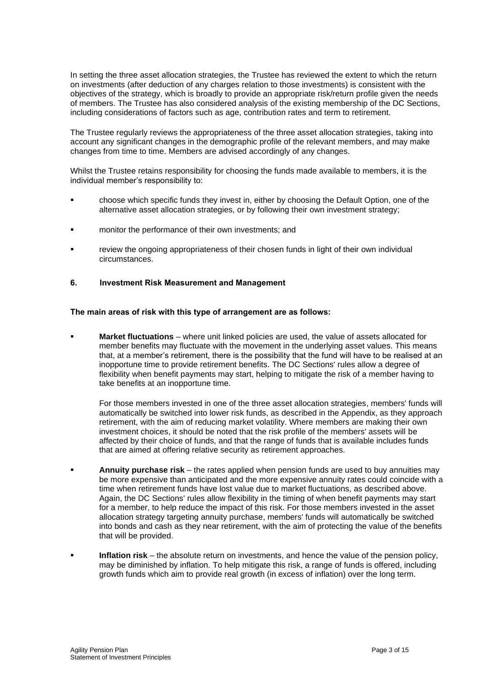In setting the three asset allocation strategies, the Trustee has reviewed the extent to which the return on investments (after deduction of any charges relation to those investments) is consistent with the objectives of the strategy, which is broadly to provide an appropriate risk/return profile given the needs of members. The Trustee has also considered analysis of the existing membership of the DC Sections, including considerations of factors such as age, contribution rates and term to retirement.

The Trustee regularly reviews the appropriateness of the three asset allocation strategies, taking into account any significant changes in the demographic profile of the relevant members, and may make changes from time to time. Members are advised accordingly of any changes.

Whilst the Trustee retains responsibility for choosing the funds made available to members, it is the individual member's responsibility to:

- choose which specific funds they invest in, either by choosing the Default Option, one of the alternative asset allocation strategies, or by following their own investment strategy;
- monitor the performance of their own investments; and
- review the ongoing appropriateness of their chosen funds in light of their own individual circumstances.
- **6. Investment Risk Measurement and Management**

#### **The main areas of risk with this type of arrangement are as follows:**

**Market fluctuations** – where unit linked policies are used, the value of assets allocated for member benefits may fluctuate with the movement in the underlying asset values. This means that, at a member's retirement, there is the possibility that the fund will have to be realised at an inopportune time to provide retirement benefits. The DC Sections' rules allow a degree of flexibility when benefit payments may start, helping to mitigate the risk of a member having to take benefits at an inopportune time.

For those members invested in one of the three asset allocation strategies, members' funds will automatically be switched into lower risk funds, as described in the Appendix, as they approach retirement, with the aim of reducing market volatility. Where members are making their own investment choices, it should be noted that the risk profile of the members' assets will be affected by their choice of funds, and that the range of funds that is available includes funds that are aimed at offering relative security as retirement approaches.

- **Annuity purchase risk** the rates applied when pension funds are used to buy annuities may be more expensive than anticipated and the more expensive annuity rates could coincide with a time when retirement funds have lost value due to market fluctuations, as described above. Again, the DC Sections' rules allow flexibility in the timing of when benefit payments may start for a member, to help reduce the impact of this risk. For those members invested in the asset allocation strategy targeting annuity purchase, members' funds will automatically be switched into bonds and cash as they near retirement, with the aim of protecting the value of the benefits that will be provided.
- **Inflation risk** the absolute return on investments, and hence the value of the pension policy, may be diminished by inflation. To help mitigate this risk, a range of funds is offered, including growth funds which aim to provide real growth (in excess of inflation) over the long term.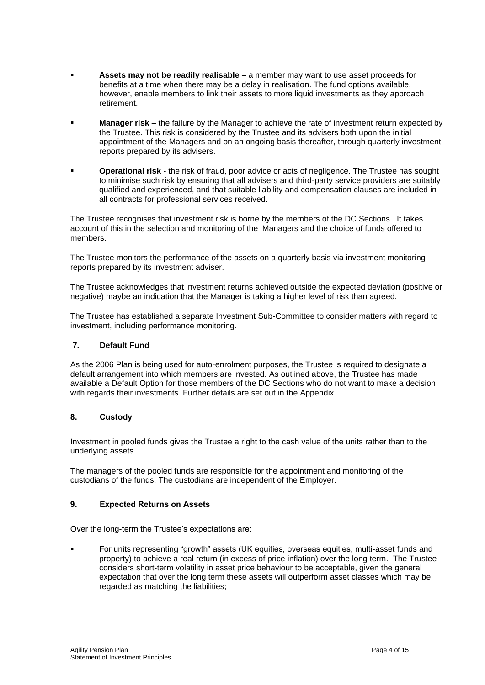- **Assets may not be readily realisable** a member may want to use asset proceeds for benefits at a time when there may be a delay in realisation. The fund options available, however, enable members to link their assets to more liquid investments as they approach retirement.
- **Manager risk** the failure by the Manager to achieve the rate of investment return expected by the Trustee. This risk is considered by the Trustee and its advisers both upon the initial appointment of the Managers and on an ongoing basis thereafter, through quarterly investment reports prepared by its advisers.
- **Operational risk** the risk of fraud, poor advice or acts of negligence. The Trustee has sought to minimise such risk by ensuring that all advisers and third-party service providers are suitably qualified and experienced, and that suitable liability and compensation clauses are included in all contracts for professional services received.

The Trustee recognises that investment risk is borne by the members of the DC Sections. It takes account of this in the selection and monitoring of the iManagers and the choice of funds offered to members.

The Trustee monitors the performance of the assets on a quarterly basis via investment monitoring reports prepared by its investment adviser.

The Trustee acknowledges that investment returns achieved outside the expected deviation (positive or negative) maybe an indication that the Manager is taking a higher level of risk than agreed.

The Trustee has established a separate Investment Sub-Committee to consider matters with regard to investment, including performance monitoring.

### **7. Default Fund**

As the 2006 Plan is being used for auto-enrolment purposes, the Trustee is required to designate a default arrangement into which members are invested. As outlined above, the Trustee has made available a Default Option for those members of the DC Sections who do not want to make a decision with regards their investments. Further details are set out in the Appendix.

### **8. Custody**

Investment in pooled funds gives the Trustee a right to the cash value of the units rather than to the underlying assets.

The managers of the pooled funds are responsible for the appointment and monitoring of the custodians of the funds. The custodians are independent of the Employer.

### **9. Expected Returns on Assets**

Over the long-term the Trustee's expectations are:

▪ For units representing "growth" assets (UK equities, overseas equities, multi-asset funds and property) to achieve a real return (in excess of price inflation) over the long term. The Trustee considers short-term volatility in asset price behaviour to be acceptable, given the general expectation that over the long term these assets will outperform asset classes which may be regarded as matching the liabilities;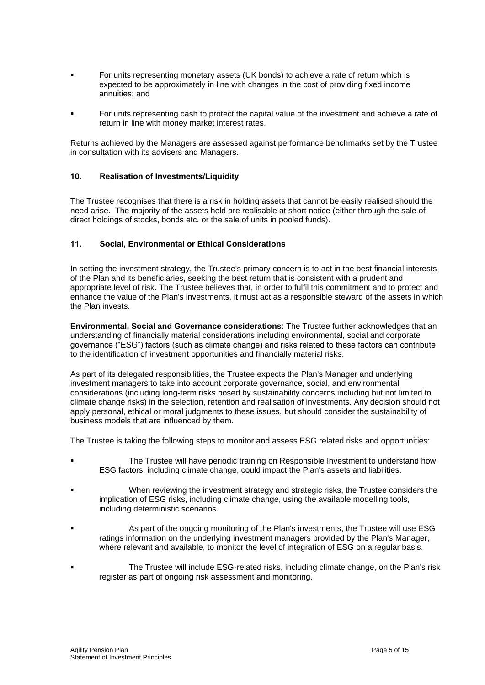- For units representing monetary assets (UK bonds) to achieve a rate of return which is expected to be approximately in line with changes in the cost of providing fixed income annuities; and
- For units representing cash to protect the capital value of the investment and achieve a rate of return in line with money market interest rates.

Returns achieved by the Managers are assessed against performance benchmarks set by the Trustee in consultation with its advisers and Managers.

### **10. Realisation of Investments/Liquidity**

The Trustee recognises that there is a risk in holding assets that cannot be easily realised should the need arise. The majority of the assets held are realisable at short notice (either through the sale of direct holdings of stocks, bonds etc. or the sale of units in pooled funds).

### **11. Social, Environmental or Ethical Considerations**

In setting the investment strategy, the Trustee's primary concern is to act in the best financial interests of the Plan and its beneficiaries, seeking the best return that is consistent with a prudent and appropriate level of risk. The Trustee believes that, in order to fulfil this commitment and to protect and enhance the value of the Plan's investments, it must act as a responsible steward of the assets in which the Plan invests.

**Environmental, Social and Governance considerations**: The Trustee further acknowledges that an understanding of financially material considerations including environmental, social and corporate governance ("ESG") factors (such as climate change) and risks related to these factors can contribute to the identification of investment opportunities and financially material risks.

As part of its delegated responsibilities, the Trustee expects the Plan's Manager and underlying investment managers to take into account corporate governance, social, and environmental considerations (including long-term risks posed by sustainability concerns including but not limited to climate change risks) in the selection, retention and realisation of investments. Any decision should not apply personal, ethical or moral judgments to these issues, but should consider the sustainability of business models that are influenced by them.

The Trustee is taking the following steps to monitor and assess ESG related risks and opportunities:

- The Trustee will have periodic training on Responsible Investment to understand how ESG factors, including climate change, could impact the Plan's assets and liabilities.
- When reviewing the investment strategy and strategic risks, the Trustee considers the implication of ESG risks, including climate change, using the available modelling tools, including deterministic scenarios.
- As part of the ongoing monitoring of the Plan's investments, the Trustee will use ESG ratings information on the underlying investment managers provided by the Plan's Manager, where relevant and available, to monitor the level of integration of ESG on a regular basis.
- The Trustee will include ESG-related risks, including climate change, on the Plan's risk register as part of ongoing risk assessment and monitoring.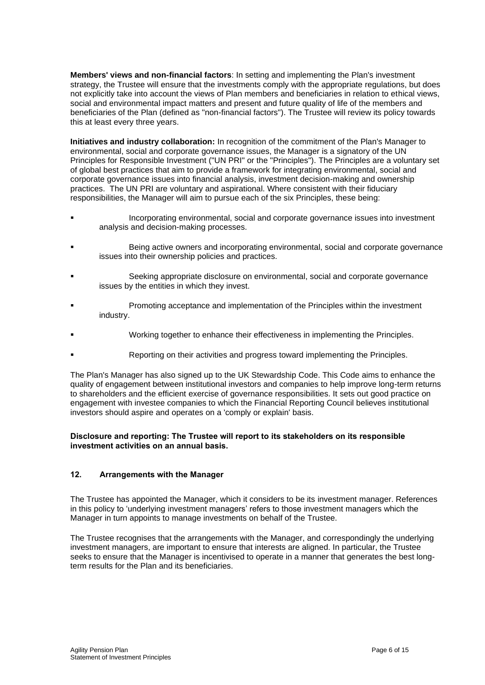**Members' views and non-financial factors**: In setting and implementing the Plan's investment strategy, the Trustee will ensure that the investments comply with the appropriate regulations, but does not explicitly take into account the views of Plan members and beneficiaries in relation to ethical views, social and environmental impact matters and present and future quality of life of the members and beneficiaries of the Plan (defined as "non-financial factors"). The Trustee will review its policy towards this at least every three years.

**Initiatives and industry collaboration:** In recognition of the commitment of the Plan's Manager to environmental, social and corporate governance issues, the Manager is a signatory of the UN Principles for Responsible Investment ("UN PRI" or the "Principles"). The Principles are a voluntary set of global best practices that aim to provide a framework for integrating environmental, social and corporate governance issues into financial analysis, investment decision-making and ownership practices. The UN PRI are voluntary and aspirational. Where consistent with their fiduciary responsibilities, the Manager will aim to pursue each of the six Principles, these being:

- Incorporating environmental, social and corporate governance issues into investment analysis and decision-making processes.
- Being active owners and incorporating environmental, social and corporate governance issues into their ownership policies and practices.
- Seeking appropriate disclosure on environmental, social and corporate governance issues by the entities in which they invest.
- Promoting acceptance and implementation of the Principles within the investment industry.
- Working together to enhance their effectiveness in implementing the Principles.
- Reporting on their activities and progress toward implementing the Principles.

The Plan's Manager has also signed up to the UK Stewardship Code. This Code aims to enhance the quality of engagement between institutional investors and companies to help improve long-term returns to shareholders and the efficient exercise of governance responsibilities. It sets out good practice on engagement with investee companies to which the Financial Reporting Council believes institutional investors should aspire and operates on a 'comply or explain' basis.

#### **Disclosure and reporting: The Trustee will report to its stakeholders on its responsible investment activities on an annual basis.**

### **12. Arrangements with the Manager**

The Trustee has appointed the Manager, which it considers to be its investment manager. References in this policy to 'underlying investment managers' refers to those investment managers which the Manager in turn appoints to manage investments on behalf of the Trustee.

The Trustee recognises that the arrangements with the Manager, and correspondingly the underlying investment managers, are important to ensure that interests are aligned. In particular, the Trustee seeks to ensure that the Manager is incentivised to operate in a manner that generates the best longterm results for the Plan and its beneficiaries.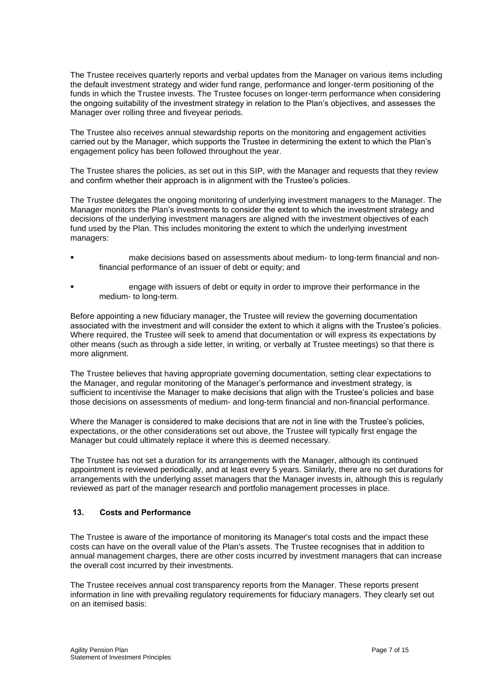The Trustee receives quarterly reports and verbal updates from the Manager on various items including the default investment strategy and wider fund range, performance and longer-term positioning of the funds in which the Trustee invests. The Trustee focuses on longer-term performance when considering the ongoing suitability of the investment strategy in relation to the Plan's objectives, and assesses the Manager over rolling three and fiveyear periods.

The Trustee also receives annual stewardship reports on the monitoring and engagement activities carried out by the Manager, which supports the Trustee in determining the extent to which the Plan's engagement policy has been followed throughout the year.

The Trustee shares the policies, as set out in this SIP, with the Manager and requests that they review and confirm whether their approach is in alignment with the Trustee's policies.

The Trustee delegates the ongoing monitoring of underlying investment managers to the Manager. The Manager monitors the Plan's investments to consider the extent to which the investment strategy and decisions of the underlying investment managers are aligned with the investment objectives of each fund used by the Plan. This includes monitoring the extent to which the underlying investment managers:

- make decisions based on assessments about medium- to long-term financial and nonfinancial performance of an issuer of debt or equity; and
- engage with issuers of debt or equity in order to improve their performance in the medium- to long-term.

Before appointing a new fiduciary manager, the Trustee will review the governing documentation associated with the investment and will consider the extent to which it aligns with the Trustee's policies. Where required, the Trustee will seek to amend that documentation or will express its expectations by other means (such as through a side letter, in writing, or verbally at Trustee meetings) so that there is more alignment.

The Trustee believes that having appropriate governing documentation, setting clear expectations to the Manager, and regular monitoring of the Manager's performance and investment strategy, is sufficient to incentivise the Manager to make decisions that align with the Trustee's policies and base those decisions on assessments of medium- and long-term financial and non-financial performance.

Where the Manager is considered to make decisions that are not in line with the Trustee's policies, expectations, or the other considerations set out above, the Trustee will typically first engage the Manager but could ultimately replace it where this is deemed necessary.

The Trustee has not set a duration for its arrangements with the Manager, although its continued appointment is reviewed periodically, and at least every 5 years. Similarly, there are no set durations for arrangements with the underlying asset managers that the Manager invests in, although this is regularly reviewed as part of the manager research and portfolio management processes in place.

### **13. Costs and Performance**

The Trustee is aware of the importance of monitoring its Manager's total costs and the impact these costs can have on the overall value of the Plan's assets. The Trustee recognises that in addition to annual management charges, there are other costs incurred by investment managers that can increase the overall cost incurred by their investments.

The Trustee receives annual cost transparency reports from the Manager. These reports present information in line with prevailing regulatory requirements for fiduciary managers. They clearly set out on an itemised basis: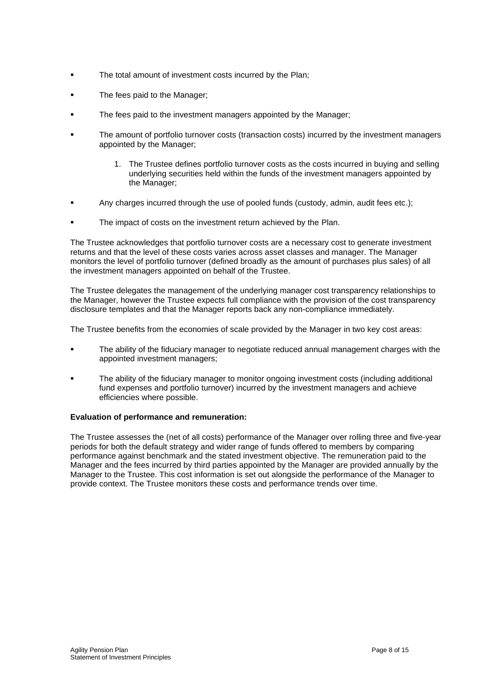- **•** The total amount of investment costs incurred by the Plan;
- **The fees paid to the Manager:**
- The fees paid to the investment managers appointed by the Manager;
- The amount of portfolio turnover costs (transaction costs) incurred by the investment managers appointed by the Manager;
	- 1. The Trustee defines portfolio turnover costs as the costs incurred in buying and selling underlying securities held within the funds of the investment managers appointed by the Manager;
- Any charges incurred through the use of pooled funds (custody, admin, audit fees etc.);
- The impact of costs on the investment return achieved by the Plan.

The Trustee acknowledges that portfolio turnover costs are a necessary cost to generate investment returns and that the level of these costs varies across asset classes and manager. The Manager monitors the level of portfolio turnover (defined broadly as the amount of purchases plus sales) of all the investment managers appointed on behalf of the Trustee.

The Trustee delegates the management of the underlying manager cost transparency relationships to the Manager, however the Trustee expects full compliance with the provision of the cost transparency disclosure templates and that the Manager reports back any non-compliance immediately.

The Trustee benefits from the economies of scale provided by the Manager in two key cost areas:

- The ability of the fiduciary manager to negotiate reduced annual management charges with the appointed investment managers;
- The ability of the fiduciary manager to monitor ongoing investment costs (including additional fund expenses and portfolio turnover) incurred by the investment managers and achieve efficiencies where possible.

#### **Evaluation of performance and remuneration:**

The Trustee assesses the (net of all costs) performance of the Manager over rolling three and five-year periods for both the default strategy and wider range of funds offered to members by comparing performance against benchmark and the stated investment objective. The remuneration paid to the Manager and the fees incurred by third parties appointed by the Manager are provided annually by the Manager to the Trustee. This cost information is set out alongside the performance of the Manager to provide context. The Trustee monitors these costs and performance trends over time.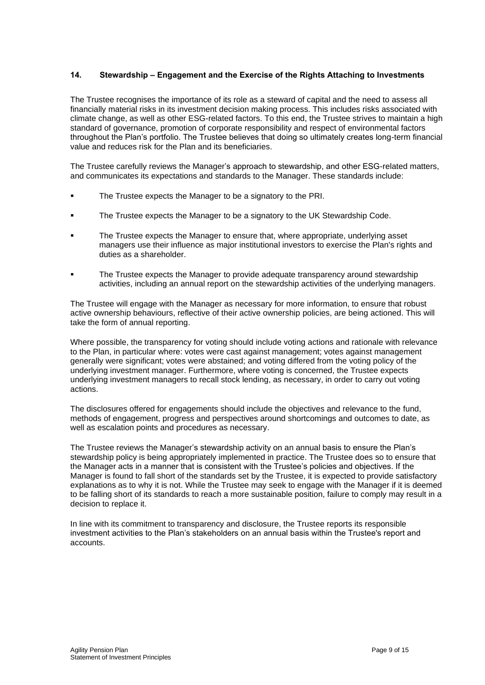### **14. Stewardship – Engagement and the Exercise of the Rights Attaching to Investments**

The Trustee recognises the importance of its role as a steward of capital and the need to assess all financially material risks in its investment decision making process. This includes risks associated with climate change, as well as other ESG-related factors. To this end, the Trustee strives to maintain a high standard of governance, promotion of corporate responsibility and respect of environmental factors throughout the Plan's portfolio. The Trustee believes that doing so ultimately creates long-term financial value and reduces risk for the Plan and its beneficiaries.

The Trustee carefully reviews the Manager's approach to stewardship, and other ESG-related matters, and communicates its expectations and standards to the Manager. These standards include:

- The Trustee expects the Manager to be a signatory to the PRI.
- The Trustee expects the Manager to be a signatory to the UK Stewardship Code.
- The Trustee expects the Manager to ensure that, where appropriate, underlying asset managers use their influence as major institutional investors to exercise the Plan's rights and duties as a shareholder.
- The Trustee expects the Manager to provide adequate transparency around stewardship activities, including an annual report on the stewardship activities of the underlying managers.

The Trustee will engage with the Manager as necessary for more information, to ensure that robust active ownership behaviours, reflective of their active ownership policies, are being actioned. This will take the form of annual reporting.

Where possible, the transparency for voting should include voting actions and rationale with relevance to the Plan, in particular where: votes were cast against management; votes against management generally were significant; votes were abstained; and voting differed from the voting policy of the underlying investment manager. Furthermore, where voting is concerned, the Trustee expects underlying investment managers to recall stock lending, as necessary, in order to carry out voting actions.

The disclosures offered for engagements should include the objectives and relevance to the fund, methods of engagement, progress and perspectives around shortcomings and outcomes to date, as well as escalation points and procedures as necessary.

The Trustee reviews the Manager's stewardship activity on an annual basis to ensure the Plan's stewardship policy is being appropriately implemented in practice. The Trustee does so to ensure that the Manager acts in a manner that is consistent with the Trustee's policies and objectives. If the Manager is found to fall short of the standards set by the Trustee, it is expected to provide satisfactory explanations as to why it is not. While the Trustee may seek to engage with the Manager if it is deemed to be falling short of its standards to reach a more sustainable position, failure to comply may result in a decision to replace it.

In line with its commitment to transparency and disclosure, the Trustee reports its responsible investment activities to the Plan's stakeholders on an annual basis within the Trustee's report and accounts.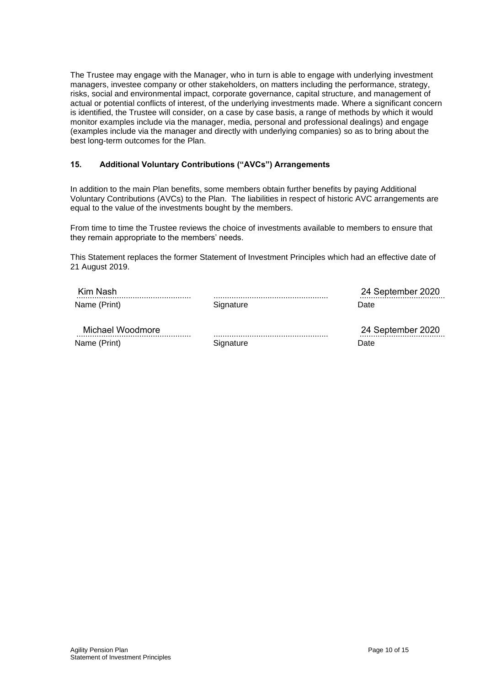The Trustee may engage with the Manager, who in turn is able to engage with underlying investment managers, investee company or other stakeholders, on matters including the performance, strategy, risks, social and environmental impact, corporate governance, capital structure, and management of actual or potential conflicts of interest, of the underlying investments made. Where a significant concern is identified, the Trustee will consider, on a case by case basis, a range of methods by which it would monitor examples include via the manager, media, personal and professional dealings) and engage (examples include via the manager and directly with underlying companies) so as to bring about the best long-term outcomes for the Plan.

### **15. Additional Voluntary Contributions ("AVCs") Arrangements**

In addition to the main Plan benefits, some members obtain further benefits by paying Additional Voluntary Contributions (AVCs) to the Plan. The liabilities in respect of historic AVC arrangements are equal to the value of the investments bought by the members.

From time to time the Trustee reviews the choice of investments available to members to ensure that they remain appropriate to the members' needs.

This Statement replaces the former Statement of Investment Principles which had an effective date of 21 August 2019.

| Kim Nash         |           | 24 September 2020 |  |  |
|------------------|-----------|-------------------|--|--|
| Name (Print)     | Signature | Date              |  |  |
| Michael Woodmore |           | 24 September 2020 |  |  |

Name (Print)

**Signature** 

za oepiennei zuzu Date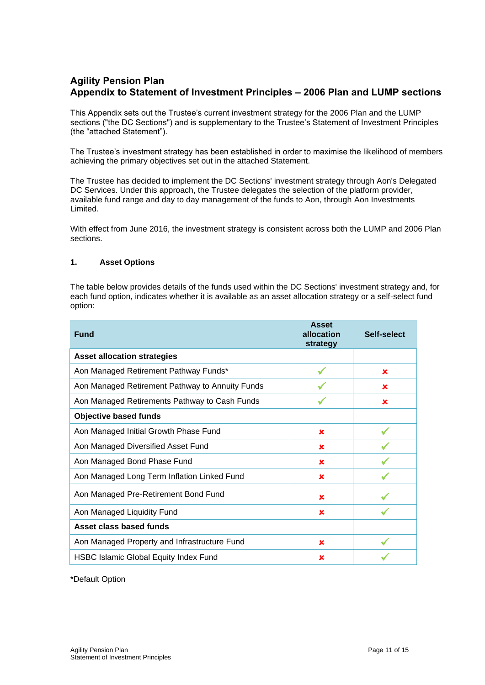# **Agility Pension Plan Appendix to Statement of Investment Principles – 2006 Plan and LUMP sections**

This Appendix sets out the Trustee's current investment strategy for the 2006 Plan and the LUMP sections ("the DC Sections") and is supplementary to the Trustee's Statement of Investment Principles (the "attached Statement").

The Trustee's investment strategy has been established in order to maximise the likelihood of members achieving the primary objectives set out in the attached Statement.

The Trustee has decided to implement the DC Sections' investment strategy through Aon's Delegated DC Services. Under this approach, the Trustee delegates the selection of the platform provider, available fund range and day to day management of the funds to Aon, through Aon Investments Limited.

With effect from June 2016, the investment strategy is consistent across both the LUMP and 2006 Plan sections.

#### **1. Asset Options**

The table below provides details of the funds used within the DC Sections' investment strategy and, for each fund option, indicates whether it is available as an asset allocation strategy or a self-select fund option:

| <b>Fund</b>                                     | <b>Asset</b><br>allocation<br>strategy | Self-select |
|-------------------------------------------------|----------------------------------------|-------------|
| <b>Asset allocation strategies</b>              |                                        |             |
| Aon Managed Retirement Pathway Funds*           |                                        | ×           |
| Aon Managed Retirement Pathway to Annuity Funds |                                        | ×           |
| Aon Managed Retirements Pathway to Cash Funds   |                                        | ×           |
| <b>Objective based funds</b>                    |                                        |             |
| Aon Managed Initial Growth Phase Fund           | $\mathbf x$                            |             |
| Aon Managed Diversified Asset Fund              | ×                                      |             |
| Aon Managed Bond Phase Fund                     | ×                                      |             |
| Aon Managed Long Term Inflation Linked Fund     | ×                                      |             |
| Aon Managed Pre-Retirement Bond Fund            | ×                                      |             |
| Aon Managed Liquidity Fund                      | ×                                      |             |
| Asset class based funds                         |                                        |             |
| Aon Managed Property and Infrastructure Fund    | ×                                      |             |
| <b>HSBC Islamic Global Equity Index Fund</b>    | ×                                      |             |

\*Default Option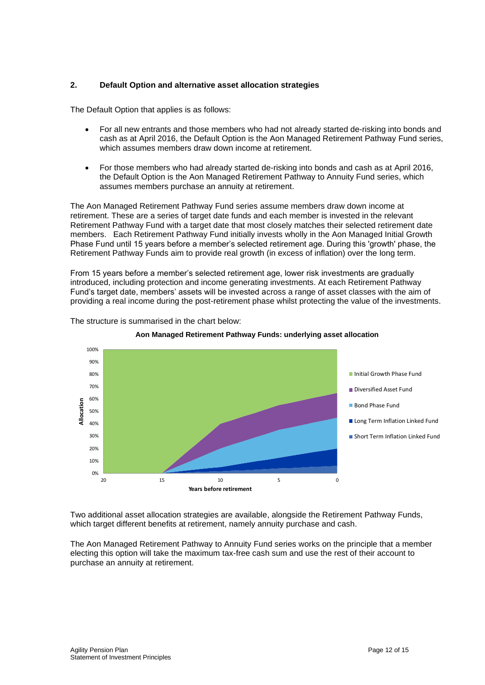### **2. Default Option and alternative asset allocation strategies**

The Default Option that applies is as follows:

- For all new entrants and those members who had not already started de-risking into bonds and cash as at April 2016, the Default Option is the Aon Managed Retirement Pathway Fund series, which assumes members draw down income at retirement.
- For those members who had already started de-risking into bonds and cash as at April 2016, the Default Option is the Aon Managed Retirement Pathway to Annuity Fund series, which assumes members purchase an annuity at retirement.

The Aon Managed Retirement Pathway Fund series assume members draw down income at retirement. These are a series of target date funds and each member is invested in the relevant Retirement Pathway Fund with a target date that most closely matches their selected retirement date members. Each Retirement Pathway Fund initially invests wholly in the Aon Managed Initial Growth Phase Fund until 15 years before a member's selected retirement age. During this 'growth' phase, the Retirement Pathway Funds aim to provide real growth (in excess of inflation) over the long term.

From 15 years before a member's selected retirement age, lower risk investments are gradually introduced, including protection and income generating investments. At each Retirement Pathway Fund's target date, members' assets will be invested across a range of asset classes with the aim of providing a real income during the post-retirement phase whilst protecting the value of the investments.



The structure is summarised in the chart below:



Two additional asset allocation strategies are available, alongside the Retirement Pathway Funds, which target different benefits at retirement, namely annuity purchase and cash.

The Aon Managed Retirement Pathway to Annuity Fund series works on the principle that a member electing this option will take the maximum tax-free cash sum and use the rest of their account to purchase an annuity at retirement.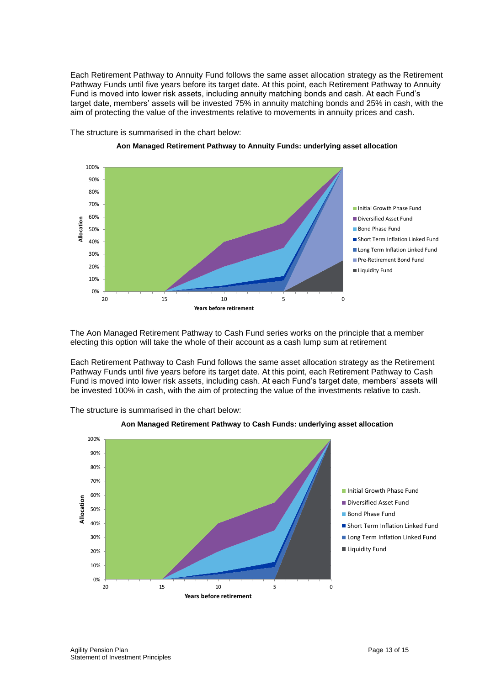Each Retirement Pathway to Annuity Fund follows the same asset allocation strategy as the Retirement Pathway Funds until five years before its target date. At this point, each Retirement Pathway to Annuity Fund is moved into lower risk assets, including annuity matching bonds and cash. At each Fund's target date, members' assets will be invested 75% in annuity matching bonds and 25% in cash, with the aim of protecting the value of the investments relative to movements in annuity prices and cash.





**Aon Managed Retirement Pathway to Annuity Funds: underlying asset allocation**

The Aon Managed Retirement Pathway to Cash Fund series works on the principle that a member electing this option will take the whole of their account as a cash lump sum at retirement

Each Retirement Pathway to Cash Fund follows the same asset allocation strategy as the Retirement Pathway Funds until five years before its target date. At this point, each Retirement Pathway to Cash Fund is moved into lower risk assets, including cash. At each Fund's target date, members' assets will be invested 100% in cash, with the aim of protecting the value of the investments relative to cash.



The structure is summarised in the chart below: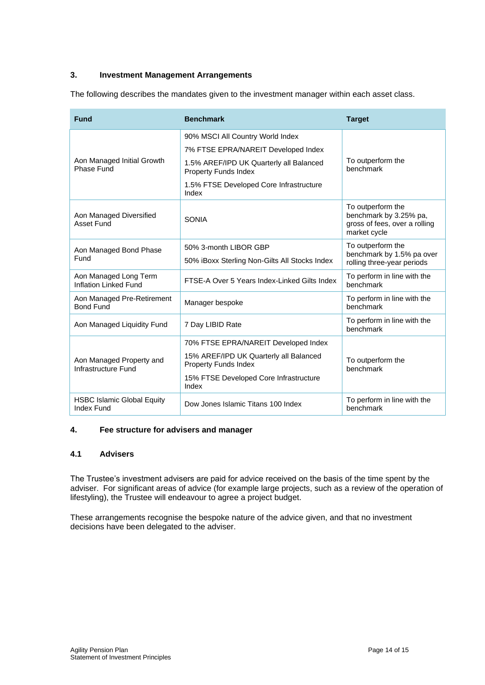### **3. Investment Management Arrangements**

The following describes the mandates given to the investment manager within each asset class.

| <b>Fund</b>                                            | <b>Benchmark</b>                                                       | <b>Target</b>                                                                                |  |
|--------------------------------------------------------|------------------------------------------------------------------------|----------------------------------------------------------------------------------------------|--|
|                                                        | 90% MSCI All Country World Index                                       |                                                                                              |  |
| Aon Managed Initial Growth<br>Phase Fund               | 7% FTSE EPRA/NAREIT Developed Index                                    |                                                                                              |  |
|                                                        | 1.5% AREF/IPD UK Quarterly all Balanced<br><b>Property Funds Index</b> | To outperform the<br>benchmark                                                               |  |
|                                                        | 1.5% FTSE Developed Core Infrastructure<br>Index                       |                                                                                              |  |
| Aon Managed Diversified<br><b>Asset Fund</b>           | <b>SONIA</b>                                                           | To outperform the<br>benchmark by 3.25% pa,<br>gross of fees, over a rolling<br>market cycle |  |
| Aon Managed Bond Phase<br>Fund                         | 50% 3-month LIBOR GBP                                                  | To outperform the<br>benchmark by 1.5% pa over<br>rolling three-year periods                 |  |
|                                                        | 50% iBoxx Sterling Non-Gilts All Stocks Index                          |                                                                                              |  |
| Aon Managed Long Term<br><b>Inflation Linked Fund</b>  | FTSE-A Over 5 Years Index-Linked Gilts Index                           | To perform in line with the<br>benchmark                                                     |  |
| Aon Managed Pre-Retirement<br><b>Bond Fund</b>         | Manager bespoke                                                        | To perform in line with the<br>benchmark                                                     |  |
| Aon Managed Liquidity Fund                             | 7 Day LIBID Rate                                                       | To perform in line with the<br>benchmark                                                     |  |
| Aon Managed Property and<br>Infrastructure Fund        | 70% FTSE EPRA/NAREIT Developed Index                                   |                                                                                              |  |
|                                                        | 15% AREF/IPD UK Quarterly all Balanced<br>Property Funds Index         | To outperform the<br>benchmark                                                               |  |
|                                                        | 15% FTSE Developed Core Infrastructure<br>Index                        |                                                                                              |  |
| <b>HSBC Islamic Global Equity</b><br><b>Index Fund</b> | Dow Jones Islamic Titans 100 Index                                     | To perform in line with the<br>benchmark                                                     |  |

### **4. Fee structure for advisers and manager**

### **4.1 Advisers**

The Trustee's investment advisers are paid for advice received on the basis of the time spent by the adviser. For significant areas of advice (for example large projects, such as a review of the operation of lifestyling), the Trustee will endeavour to agree a project budget.

These arrangements recognise the bespoke nature of the advice given, and that no investment decisions have been delegated to the adviser.